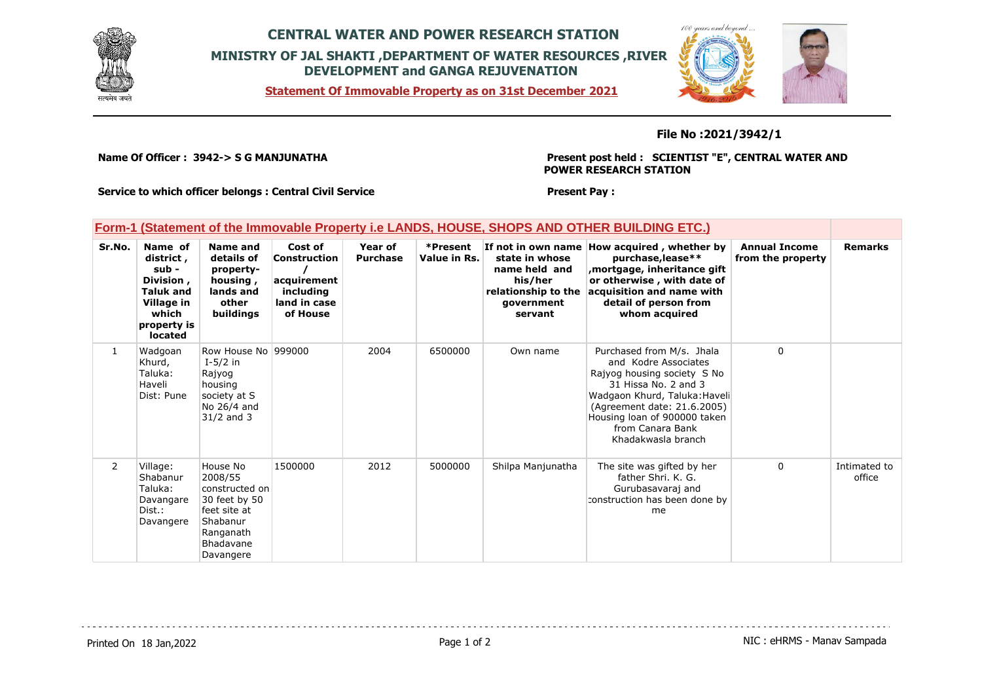

## **CENTRAL WATER AND POWER RESEARCH STATION MINISTRY OF JAL SHAKTI ,DEPARTMENT OF WATER RESOURCES ,RIVER DEVELOPMENT and GANGA REJUVENATION**

**Statement Of Immovable Property as on 31st December 2021**



#### **File No :2021/3942/1**

**Name Of Officer : 3942-> S G MANJUNATHA** 

**Present post held : SCIENTIST "E", CENTRAL WATER AND POWER RESEARCH STATION**

**Service to which officer belongs : Central Civil Service**

**Present Pay :** 

### **Form-1 (Statement of the Immovable Property i.e LANDS, HOUSE, SHOPS AND OTHER BUILDING ETC.)**

| Sr.No.         | Name of<br>district,<br>$sub -$<br>Division,<br><b>Taluk and</b><br>Village in<br>which<br>property is<br><b>located</b> | Name and<br>details of<br>property-<br>housing,<br>lands and<br>other<br>buildings                                        | Cost of<br>Construction<br>acquirement<br>including<br>land in case<br>of House | Year of<br><b>Purchase</b> | *Present<br>Value in Rs. | If not in own name<br>state in whose<br>name held and<br>his/her<br>relationship to the<br>qovernment<br>servant | How acquired, whether by<br>purchase, lease**<br>mortgage, inheritance gift,<br>or otherwise, with date of<br>acquisition and name with<br>detail of person from<br>whom acquired                                                                  | <b>Annual Income</b><br>from the property | <b>Remarks</b>         |
|----------------|--------------------------------------------------------------------------------------------------------------------------|---------------------------------------------------------------------------------------------------------------------------|---------------------------------------------------------------------------------|----------------------------|--------------------------|------------------------------------------------------------------------------------------------------------------|----------------------------------------------------------------------------------------------------------------------------------------------------------------------------------------------------------------------------------------------------|-------------------------------------------|------------------------|
| 1              | Wadgoan<br>Khurd,<br>Taluka:<br>Haveli<br>Dist: Pune                                                                     | Row House No 999000<br>$I-5/2$ in<br>Rajyog<br>housing<br>society at S<br>No 26/4 and<br>$31/2$ and 3                     |                                                                                 | 2004                       | 6500000                  | Own name                                                                                                         | Purchased from M/s. Jhala<br>and Kodre Associates<br>Rajyog housing society S No<br>31 Hissa No. 2 and 3<br>Wadgaon Khurd, Taluka: Haveli<br>(Agreement date: 21.6.2005)<br>Housing loan of 900000 taken<br>from Canara Bank<br>Khadakwasla branch | $\Omega$                                  |                        |
| $\overline{2}$ | Village:<br>Shabanur<br>Taluka:<br>Davangare<br>Dist.:<br>Davangere                                                      | House No<br>2008/55<br>constructed on<br>30 feet by 50<br>feet site at<br>Shabanur<br>Ranganath<br>Bhadavane<br>Davangere | 1500000                                                                         | 2012                       | 5000000                  | Shilpa Manjunatha                                                                                                | The site was gifted by her<br>father Shri, K. G.<br>Gurubasavaraj and<br>construction has been done by<br>me                                                                                                                                       | 0                                         | Intimated to<br>office |

Printed On 18 Jan, 2022 **Page 1 of 2** Page 1 of 2 **Page 1 of 2** NIC : eHRMS - Manav Sampada